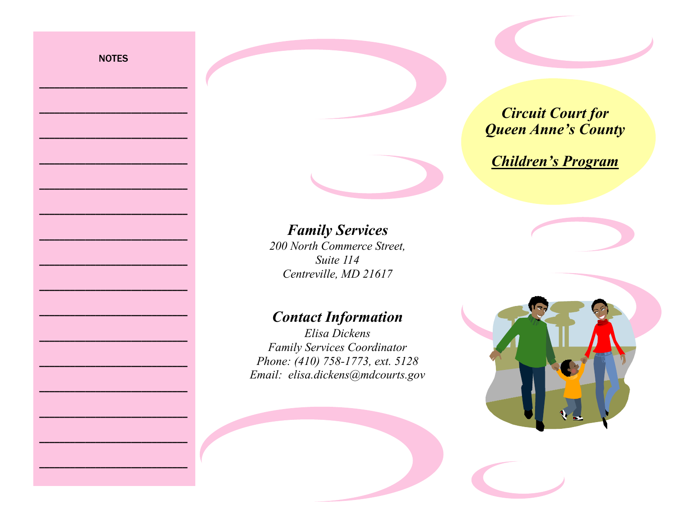**NOTES** 

\_\_\_\_\_\_\_\_\_\_\_\_\_\_\_\_\_\_\_\_\_\_\_\_\_\_\_\_\_

\_\_\_\_\_\_\_\_\_\_\_\_\_\_\_\_\_\_\_\_\_\_\_\_\_\_\_\_\_

\_\_\_\_\_\_\_\_\_\_\_\_\_\_\_\_\_\_\_\_\_\_\_\_\_\_\_\_\_

\_\_\_\_\_\_\_\_\_\_\_\_\_\_\_\_\_\_\_\_\_\_\_\_\_\_\_\_\_

\_\_\_\_\_\_\_\_\_\_\_\_\_\_\_\_\_\_\_\_\_\_\_\_\_\_\_\_\_

\_\_\_\_\_\_\_\_\_\_\_\_\_\_\_\_\_\_\_\_\_\_\_\_\_\_\_\_\_

\_\_\_\_\_\_\_\_\_\_\_\_\_\_\_\_\_\_\_\_\_\_\_\_\_\_\_\_\_

\_\_\_\_\_\_\_\_\_\_\_\_\_\_\_\_\_\_\_\_\_\_\_\_\_\_\_\_\_

\_\_\_\_\_\_\_\_\_\_\_\_\_\_\_\_\_\_\_\_\_\_\_\_\_\_\_\_\_

\_\_\_\_\_\_\_\_\_\_\_\_\_\_\_\_\_\_\_\_\_\_\_\_\_\_\_\_\_

\_\_\_\_\_\_\_\_\_\_\_\_\_\_\_\_\_\_\_\_\_\_\_\_\_\_\_\_\_

\_\_\_\_\_\_\_\_\_\_\_\_\_\_\_\_\_\_\_\_\_\_\_\_\_\_\_\_\_

\_\_\_\_\_\_\_\_\_\_\_\_\_\_\_\_\_\_\_\_\_\_\_\_\_\_\_\_\_

\_\_\_\_\_\_\_\_\_\_\_\_\_\_\_\_\_\_\_\_\_\_\_\_\_\_\_\_\_

\_\_\_\_\_\_\_\_\_\_\_\_\_\_\_\_\_\_\_\_\_\_\_\_\_\_\_\_\_

\_\_\_\_\_\_\_\_\_\_\_\_\_\_\_\_\_\_\_\_\_\_\_\_\_\_\_\_\_

## *Circuit Court for Queen Anne's County*

*Children's Program*

## *Family Services*

*200 North Commerce Street, Suite 114 Centreville, MD 21617*

## *Contact Information*

*Elisa Dickens Family Services Coordinator Phone: (410) 758-1773, ext. 5128 Email: elisa.dickens@mdcourts.gov*